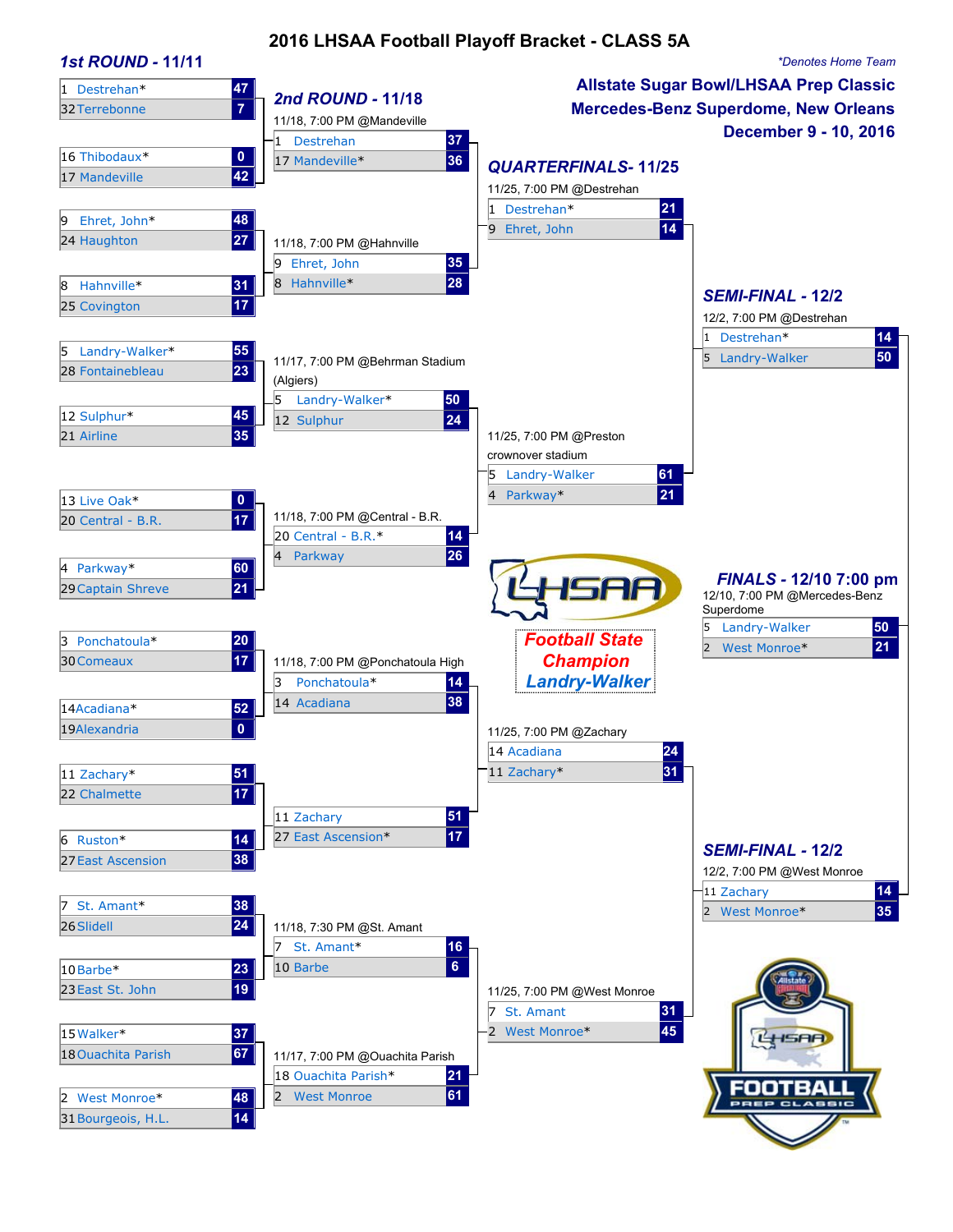### **2016 LHSAA Football Playoff Bracket - CLASS 5A**

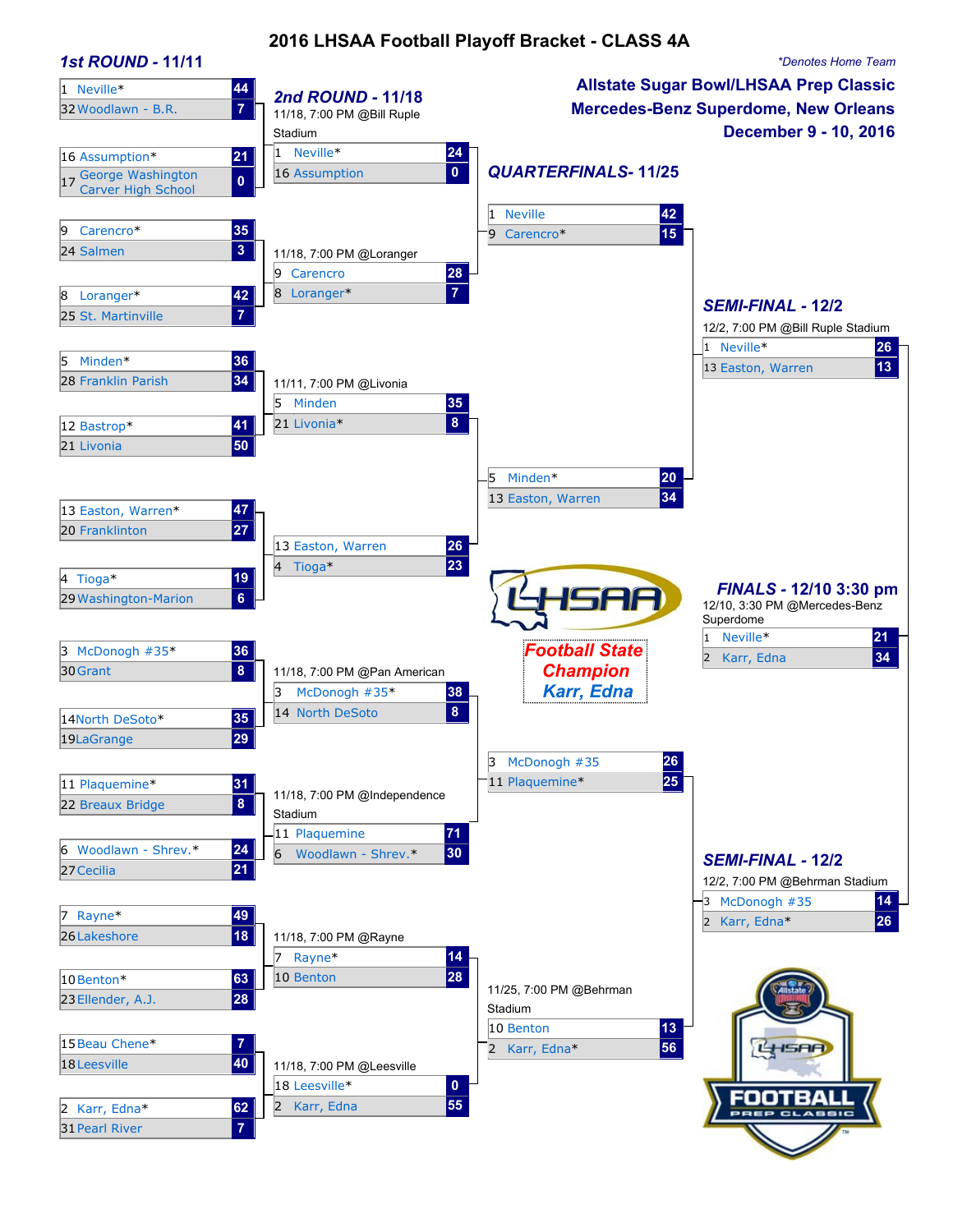### **2016 LHSAA Football Playoff Bracket - CLASS 4A**

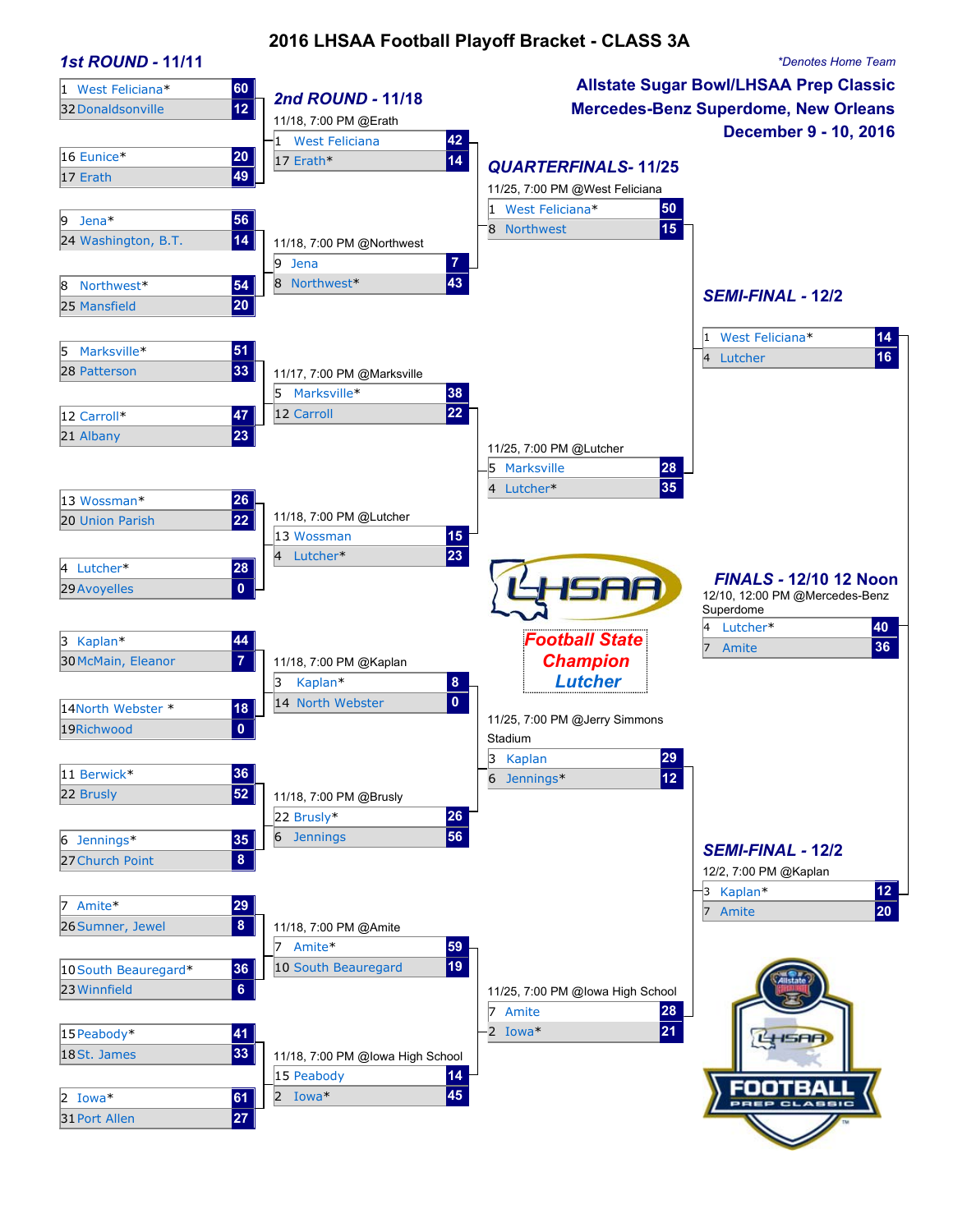### **2016 LHSAA Football Playoff Bracket - CLASS 3A**

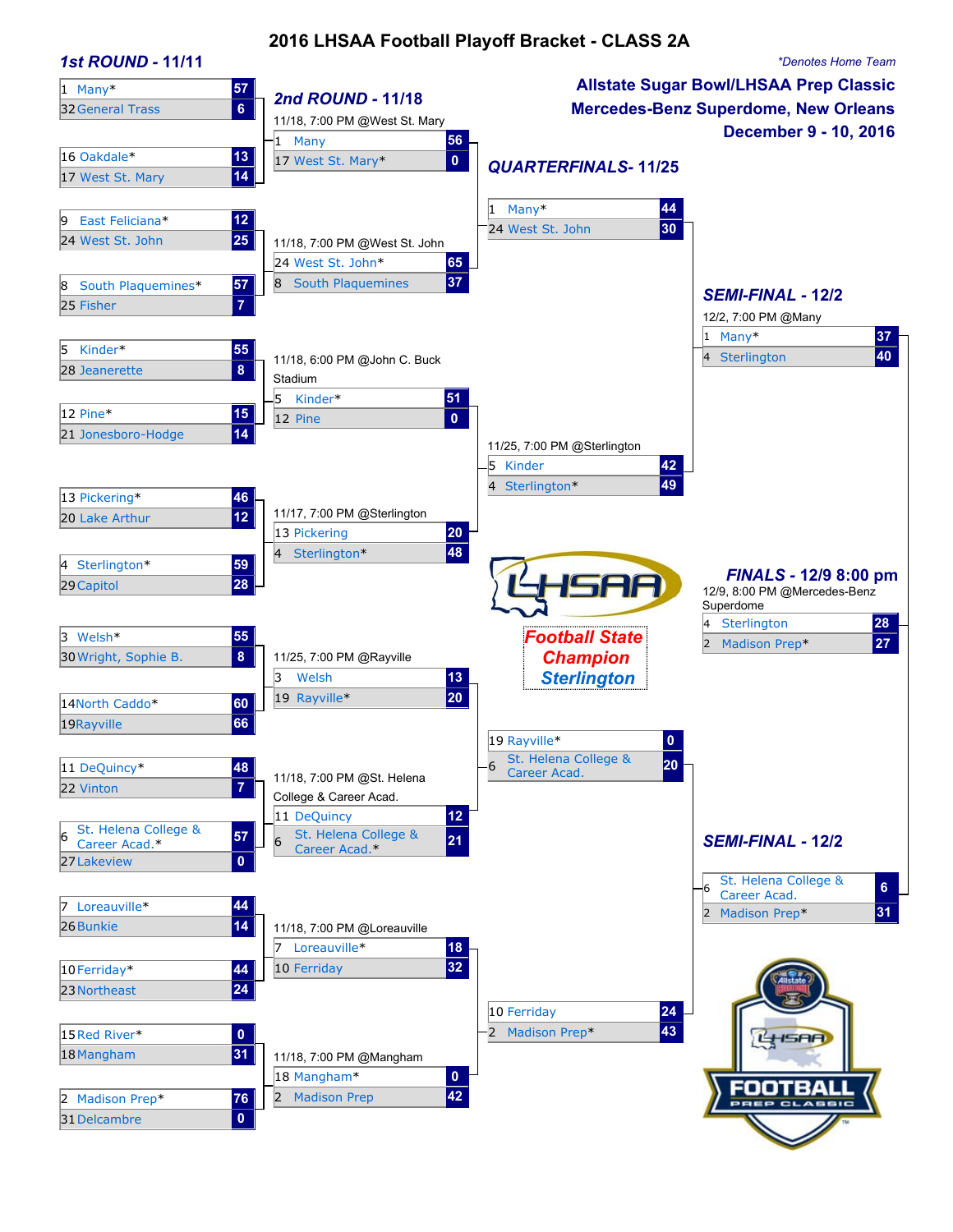### **2016 LHSAA Football Playoff Bracket - CLASS 2A**

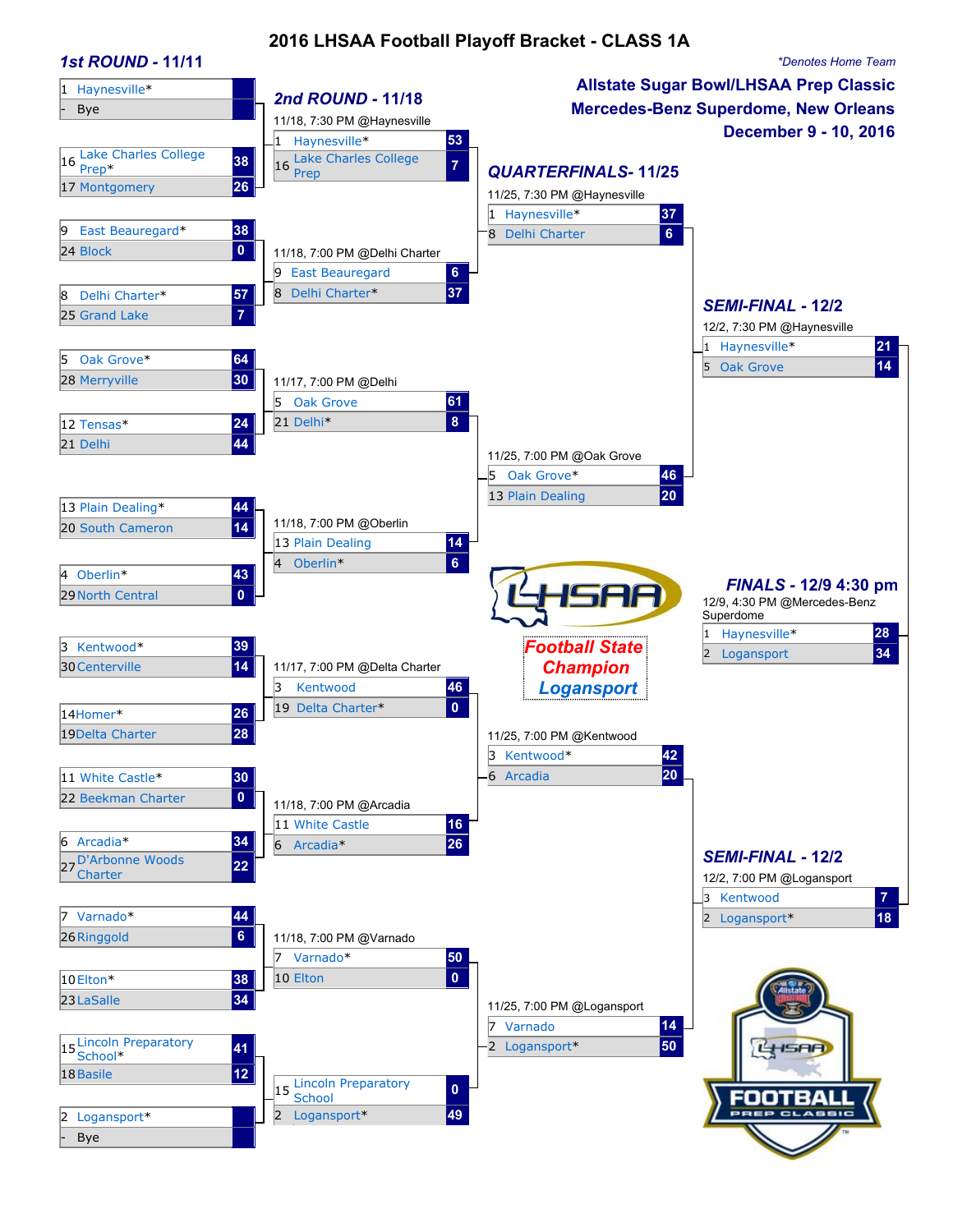### **2016 LHSAA Football Playoff Bracket - CLASS 1A**

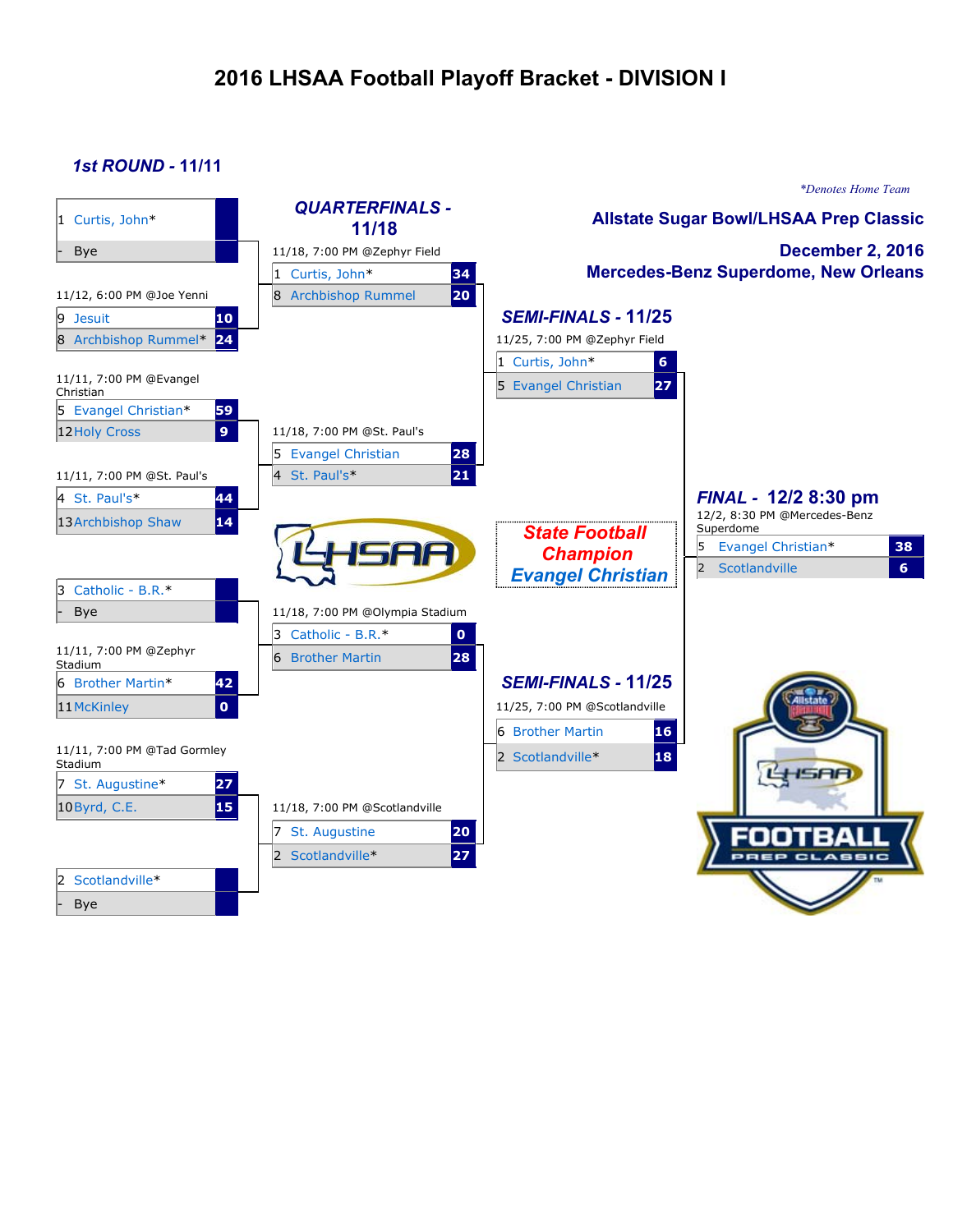# **2016 LHSAA Football Playoff Bracket - DIVISION I**

### *1st ROUND -* **11/11**

|                                        |                                   |                                               | *Denotes Home Team                          |
|----------------------------------------|-----------------------------------|-----------------------------------------------|---------------------------------------------|
| 1 Curtis, John*                        | <b>QUARTERFINALS -</b><br>11/18   | <b>Allstate Sugar Bowl/LHSAA Prep Classic</b> |                                             |
| Bye                                    | 11/18, 7:00 PM @Zephyr Field      |                                               | <b>December 2, 2016</b>                     |
|                                        | 1 Curtis, John*<br>34             |                                               | <b>Mercedes-Benz Superdome, New Orleans</b> |
| 11/12, 6:00 PM @Joe Yenni              | 20<br>8 Archbishop Rummel         |                                               |                                             |
| 10<br>9 Jesuit                         |                                   | <b>SEMI-FINALS - 11/25</b>                    |                                             |
| 24<br>8 Archbishop Rummel*             |                                   | 11/25, 7:00 PM @Zephyr Field                  |                                             |
|                                        |                                   | 1 Curtis, John*<br>$6\phantom{a}$             |                                             |
| 11/11, 7:00 PM @Evangel<br>Christian   |                                   | 27<br>5 Evangel Christian                     |                                             |
| 5 Evangel Christian*<br>59             |                                   |                                               |                                             |
| 9۱.<br>12 Holy Cross                   | 11/18, 7:00 PM @St. Paul's        |                                               |                                             |
|                                        | 5 Evangel Christian<br>28         |                                               |                                             |
| 11/11, 7:00 PM @St. Paul's             | 21<br>4 St. Paul's*               |                                               |                                             |
| 4 St. Paul's*<br>44                    |                                   |                                               | FINAL - 12/2 8:30 pm                        |
| 14<br>13 Archbishop Shaw               |                                   |                                               | 12/2, 8:30 PM @Mercedes-Benz<br>Superdome   |
|                                        |                                   | <b>State Football</b>                         | Evangel Christian*<br>15<br>38              |
|                                        |                                   | <b>Champion</b>                               | 2 <br>6 <sup>1</sup><br>Scotlandville       |
| 3 Catholic - B.R.*                     |                                   | <b>Evangel Christian</b>                      |                                             |
| <b>Bye</b>                             | 11/18, 7:00 PM @Olympia Stadium   |                                               |                                             |
|                                        | 3 Catholic - B.R.*<br>$\mathbf 0$ |                                               |                                             |
| 11/11, 7:00 PM @Zephyr<br>Stadium      | 28<br><b>6</b> Brother Martin     |                                               |                                             |
| 6 Brother Martin*<br>42                |                                   | <b>SEMI-FINALS - 11/25</b>                    |                                             |
| $\bullet$<br>11 McKinley               |                                   | 11/25, 7:00 PM @Scotlandville                 |                                             |
|                                        |                                   | 6 Brother Martin<br>16                        |                                             |
| 11/11, 7:00 PM @Tad Gormley<br>Stadium |                                   | 18<br>2 Scotlandville*                        |                                             |
| 7 St. Augustine*<br>27                 |                                   |                                               |                                             |
| 15<br>10 Byrd, C.E.                    | 11/18, 7:00 PM @Scotlandville     |                                               |                                             |
|                                        | 7 St. Augustine<br>20             |                                               |                                             |
|                                        | 27<br>2 Scotlandville*            |                                               |                                             |
| Scotlandville*<br>12.                  |                                   |                                               |                                             |
| Bye                                    |                                   |                                               |                                             |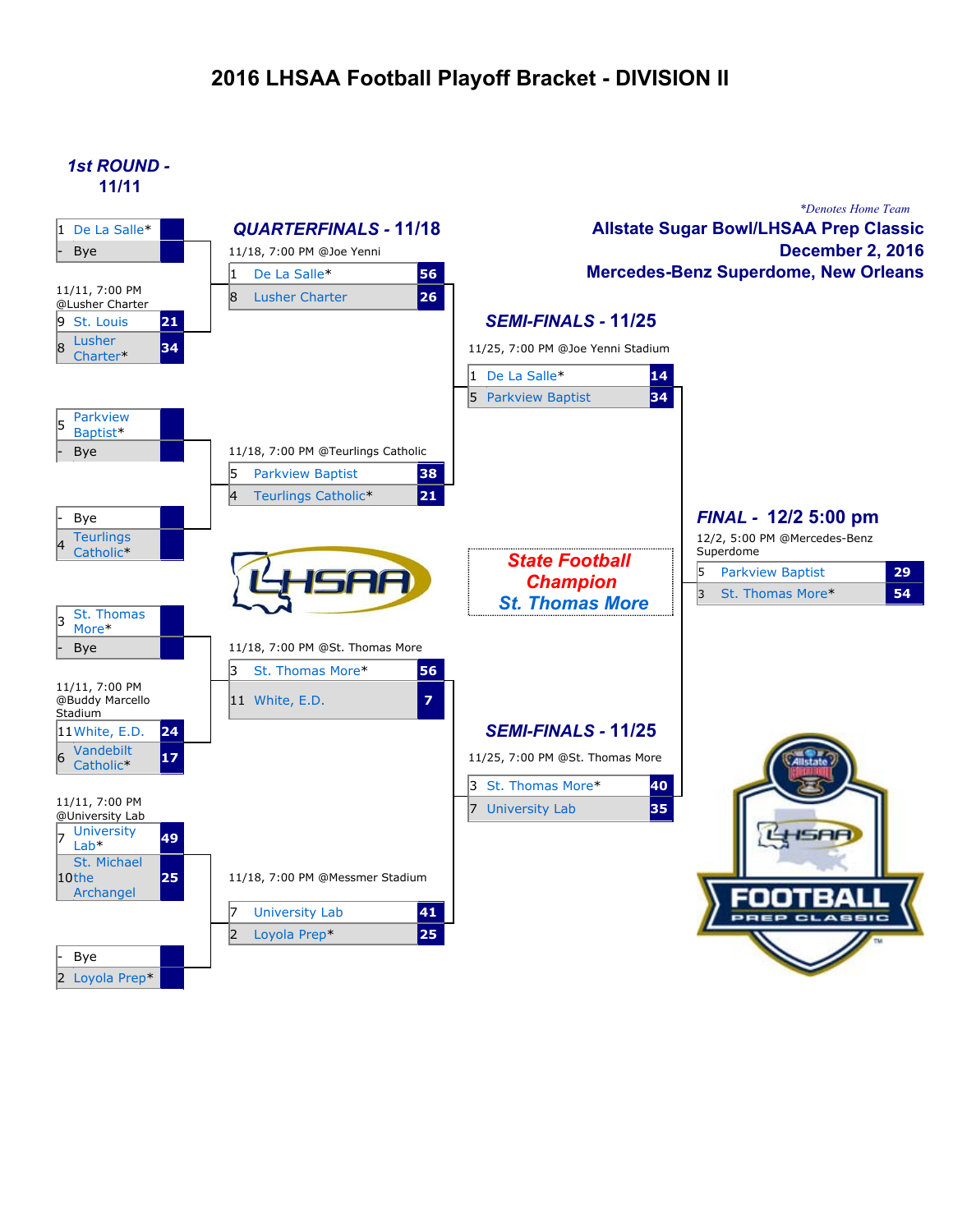### **2016 LHSAA Football Playoff Bracket - DIVISION II**

### *1st ROUND -* **11/11**

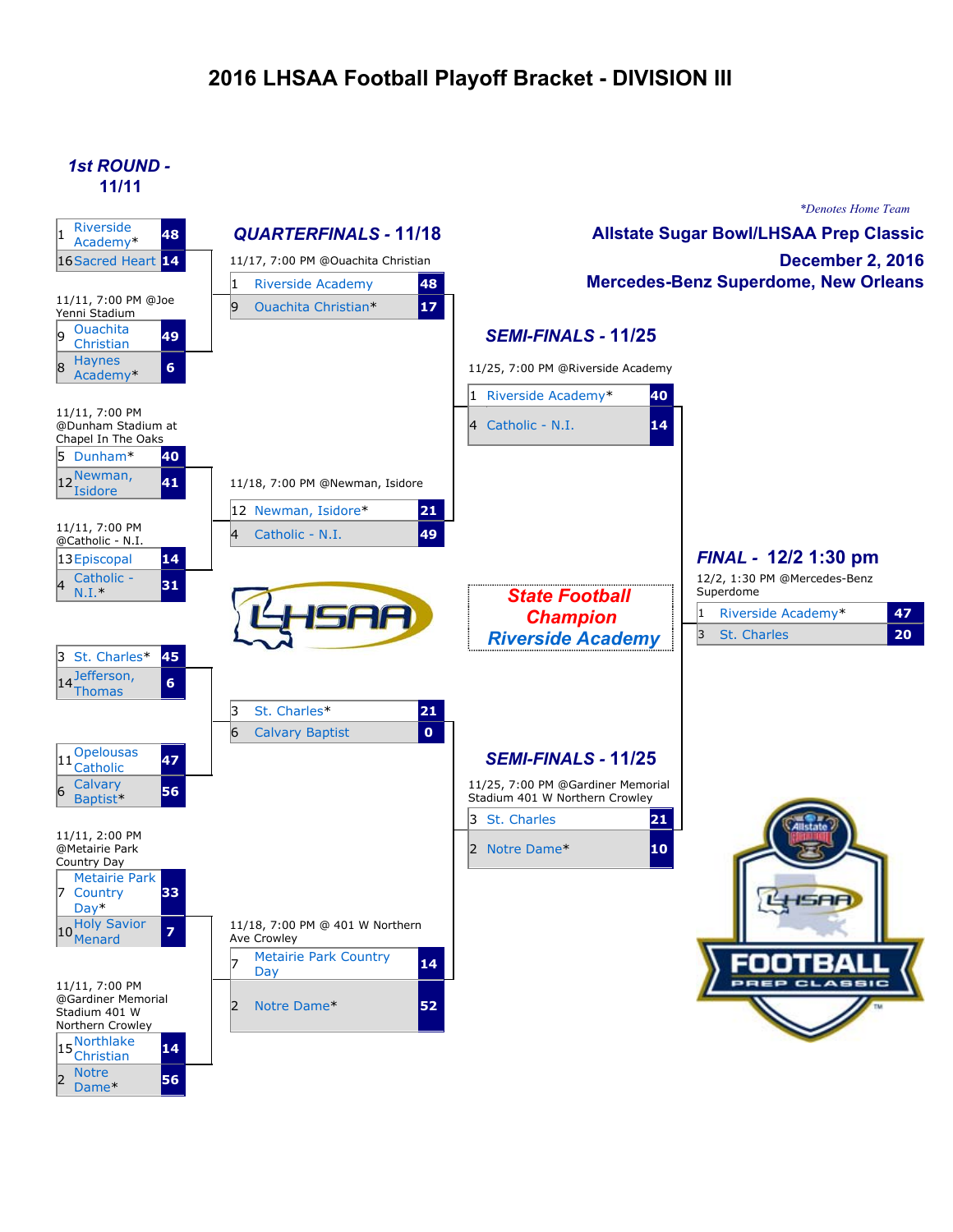## **2016 LHSAA Football Playoff Bracket - DIVISION III**

#### *1st ROUND -* **11/11**